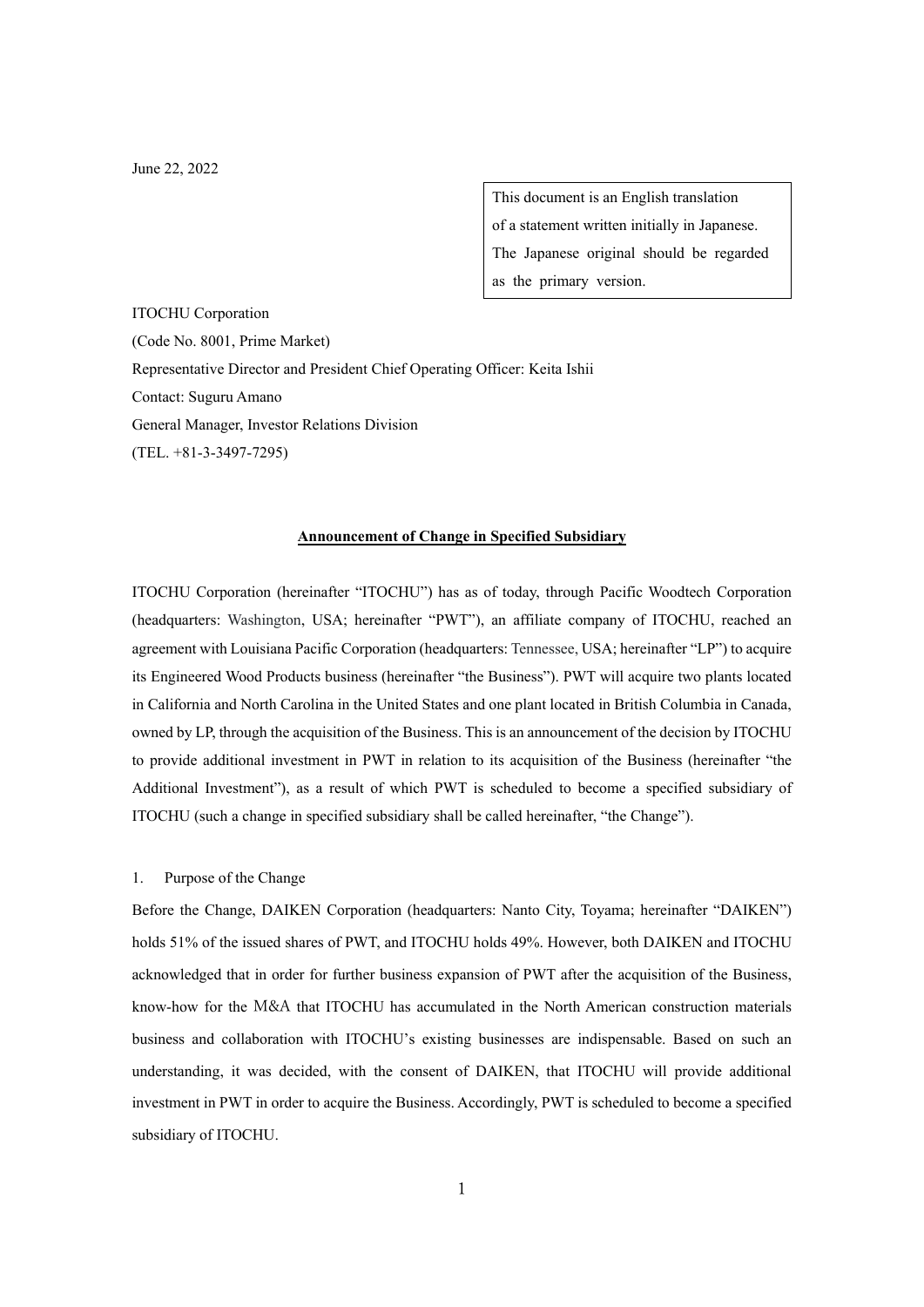June 22, 2022

This document is an English translation of a statement written initially in Japanese. The Japanese original should be regarded as the primary version.

ITOCHU Corporation (Code No. 8001, Prime Market) Representative Director and President Chief Operating Officer: Keita Ishii Contact: Suguru Amano General Manager, Investor Relations Division (TEL. +81-3-3497-7295)

## **Announcement of Change in Specified Subsidiary**

ITOCHU Corporation (hereinafter "ITOCHU") has as of today, through Pacific Woodtech Corporation (headquarters: Washington, USA; hereinafter "PWT"), an affiliate company of ITOCHU, reached an agreement with Louisiana Pacific Corporation (headquarters: Tennessee, USA; hereinafter "LP") to acquire its Engineered Wood Products business (hereinafter "the Business"). PWT will acquire two plants located in California and North Carolina in the United States and one plant located in British Columbia in Canada, owned by LP, through the acquisition of the Business. This is an announcement of the decision by ITOCHU to provide additional investment in PWT in relation to its acquisition of the Business (hereinafter "the Additional Investment"), as a result of which PWT is scheduled to become a specified subsidiary of ITOCHU (such a change in specified subsidiary shall be called hereinafter, "the Change").

#### 1. Purpose of the Change

Before the Change, DAIKEN Corporation (headquarters: Nanto City, Toyama; hereinafter "DAIKEN") holds 51% of the issued shares of PWT, and ITOCHU holds 49%. However, both DAIKEN and ITOCHU acknowledged that in order for further business expansion of PWT after the acquisition of the Business, know-how for the M&A that ITOCHU has accumulated in the North American construction materials business and collaboration with ITOCHU's existing businesses are indispensable. Based on such an understanding, it was decided, with the consent of DAIKEN, that ITOCHU will provide additional investment in PWT in order to acquire the Business. Accordingly, PWT is scheduled to become a specified subsidiary of ITOCHU.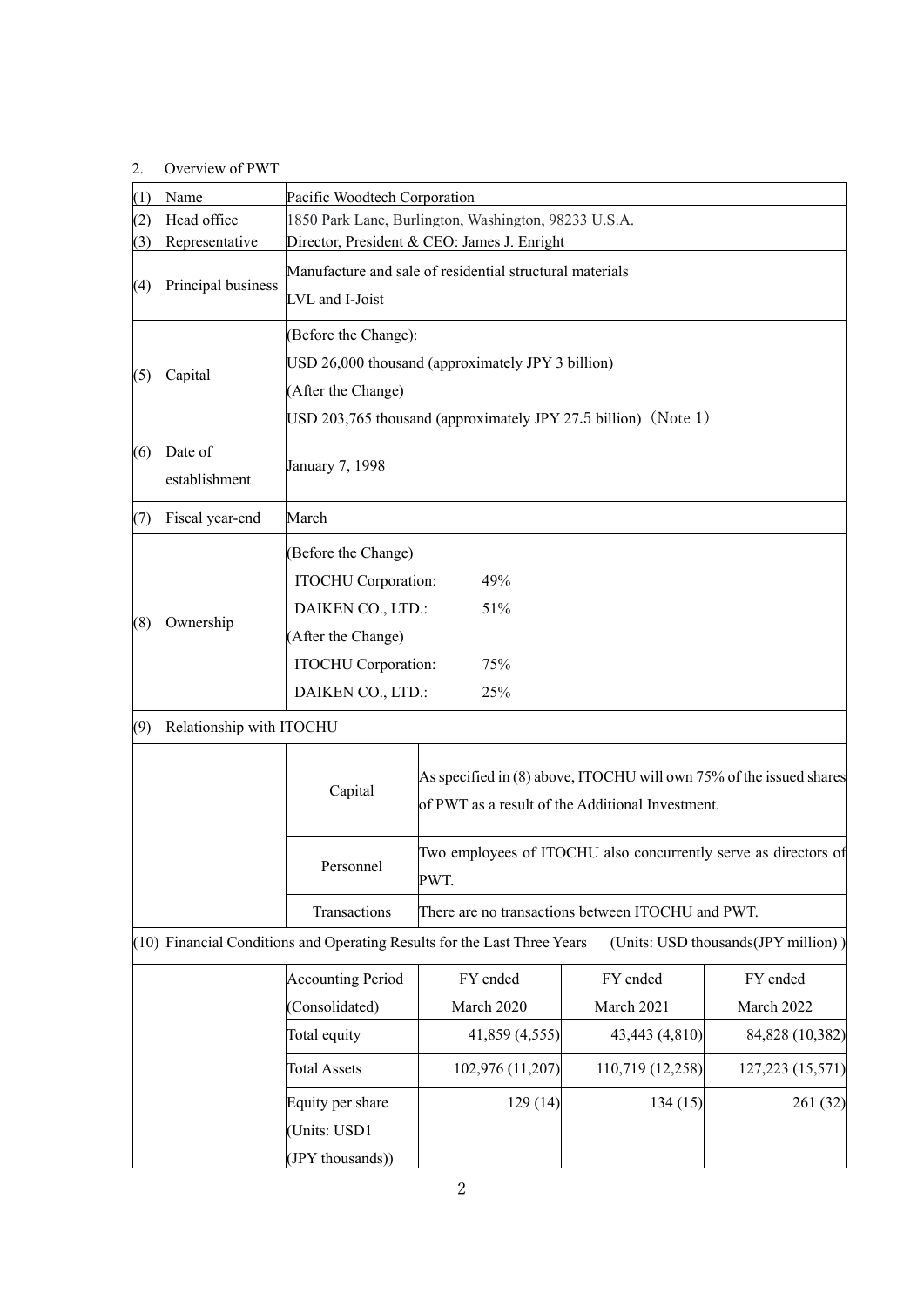# 2. Overview of PWT

| (1) | Name                     | Pacific Woodtech Corporation                                      |                                                                                                                         |                  |                                     |  |
|-----|--------------------------|-------------------------------------------------------------------|-------------------------------------------------------------------------------------------------------------------------|------------------|-------------------------------------|--|
| (2) | Head office              | 1850 Park Lane, Burlington, Washington, 98233 U.S.A.              |                                                                                                                         |                  |                                     |  |
| (3) | Representative           | Director, President & CEO: James J. Enright                       |                                                                                                                         |                  |                                     |  |
| (4) | Principal business       | Manufacture and sale of residential structural materials          |                                                                                                                         |                  |                                     |  |
|     |                          | LVL and I-Joist                                                   |                                                                                                                         |                  |                                     |  |
| (5) | Capital                  | (Before the Change):                                              |                                                                                                                         |                  |                                     |  |
|     |                          | USD 26,000 thousand (approximately JPY 3 billion)                 |                                                                                                                         |                  |                                     |  |
|     |                          | (After the Change)                                                |                                                                                                                         |                  |                                     |  |
|     |                          | USD 203,765 thousand (approximately JPY 27.5 billion) (Note $1$ ) |                                                                                                                         |                  |                                     |  |
| (6) | Date of<br>establishment | January 7, 1998                                                   |                                                                                                                         |                  |                                     |  |
| (7) | Fiscal year-end          | March                                                             |                                                                                                                         |                  |                                     |  |
|     |                          | (Before the Change)                                               |                                                                                                                         |                  |                                     |  |
|     |                          | ITOCHU Corporation:<br>49%                                        |                                                                                                                         |                  |                                     |  |
|     |                          | DAIKEN CO., LTD.:<br>51%                                          |                                                                                                                         |                  |                                     |  |
| (8) | Ownership                | (After the Change)                                                |                                                                                                                         |                  |                                     |  |
|     |                          | ITOCHU Corporation:<br>75%                                        |                                                                                                                         |                  |                                     |  |
|     |                          | DAIKEN CO., LTD.:<br>25%                                          |                                                                                                                         |                  |                                     |  |
| (9) | Relationship with ITOCHU |                                                                   |                                                                                                                         |                  |                                     |  |
|     |                          | Capital                                                           | As specified in (8) above, ITOCHU will own 75% of the issued shares<br>of PWT as a result of the Additional Investment. |                  |                                     |  |
|     |                          | Personnel                                                         | Two employees of ITOCHU also concurrently serve as directors of<br>PWT.                                                 |                  |                                     |  |
|     | Transactions             |                                                                   | There are no transactions between ITOCHU and PWT.                                                                       |                  |                                     |  |
|     |                          |                                                                   | (10) Financial Conditions and Operating Results for the Last Three Years                                                |                  | (Units: USD thousands(JPY million)) |  |
|     |                          | <b>Accounting Period</b>                                          | FY ended                                                                                                                | FY ended         | FY ended                            |  |
|     |                          | (Consolidated)                                                    | March 2020                                                                                                              | March 2021       | March 2022                          |  |
|     |                          | Total equity                                                      | 41,859 (4,555)                                                                                                          | 43,443 (4,810)   | 84,828 (10,382)                     |  |
|     |                          | <b>Total Assets</b>                                               | 102,976 (11,207)                                                                                                        | 110,719 (12,258) | 127, 223 (15, 571)                  |  |
|     |                          | Equity per share                                                  | 129(14)                                                                                                                 | 134(15)          | 261 (32)                            |  |
|     |                          | (Units: USD1                                                      |                                                                                                                         |                  |                                     |  |
|     |                          | (JPY thousands))                                                  |                                                                                                                         |                  |                                     |  |